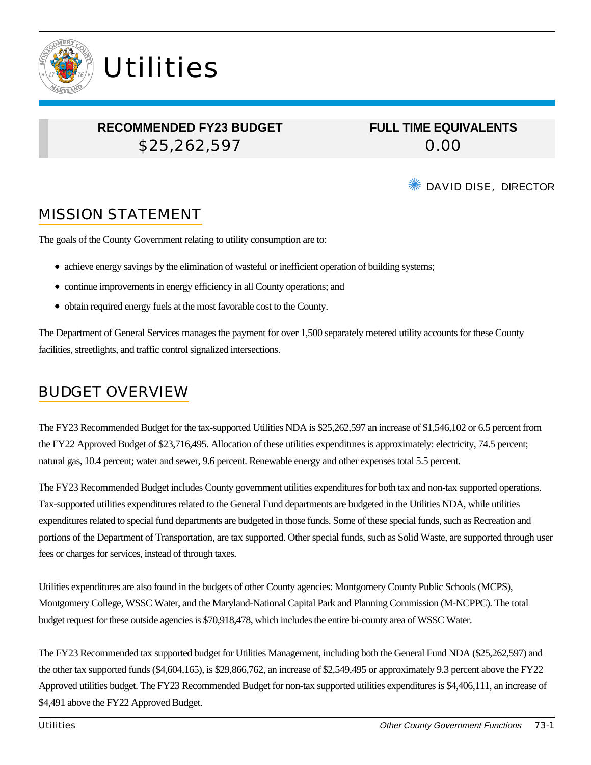

## **RECOMMENDED FY23 BUDGET** \$25,262,597

**Utilities** 

**FULL TIME EQUIVALENTS** 0.00

DAVID DISE, DIRECTOR

# MISSION STATEMENT

The goals of the County Government relating to utility consumption are to:

- achieve energy savings by the elimination of wasteful or inefficient operation of building systems;
- continue improvements in energy efficiency in all County operations; and
- obtain required energy fuels at the most favorable cost to the County.

The Department of General Services manages the payment for over 1,500 separately metered utility accounts for these County facilities, streetlights, and traffic control signalized intersections.

## BUDGET OVERVIEW

The FY23 Recommended Budget for the tax-supported Utilities NDA is \$25,262,597 an increase of \$1,546,102 or 6.5 percent from the FY22 Approved Budget of \$23,716,495. Allocation of these utilities expenditures is approximately: electricity, 74.5 percent; natural gas, 10.4 percent; water and sewer, 9.6 percent. Renewable energy and other expenses total 5.5 percent.

The FY23 Recommended Budget includes County government utilities expenditures for both tax and non-tax supported operations. Tax-supported utilities expenditures related to the General Fund departments are budgeted in the Utilities NDA, while utilities expenditures related to special fund departments are budgeted in those funds. Some of these special funds, such as Recreation and portions of the Department of Transportation, are tax supported. Other special funds, such as Solid Waste, are supported through user fees or charges for services, instead of through taxes.

Utilities expenditures are also found in the budgets of other County agencies: Montgomery County Public Schools (MCPS), Montgomery College, WSSC Water, and the Maryland-National Capital Park and Planning Commission (M-NCPPC). The total budget request for these outside agencies is \$70,918,478, which includes the entire bi-county area of WSSC Water.

The FY23 Recommended tax supported budget for Utilities Management, including both the General Fund NDA (\$25,262,597) and the other tax supported funds (\$4,604,165), is \$29,866,762, an increase of \$2,549,495 or approximately 9.3 percent above the FY22 Approved utilities budget. The FY23 Recommended Budget for non-tax supported utilities expenditures is \$4,406,111, an increase of \$4,491 above the FY22 Approved Budget.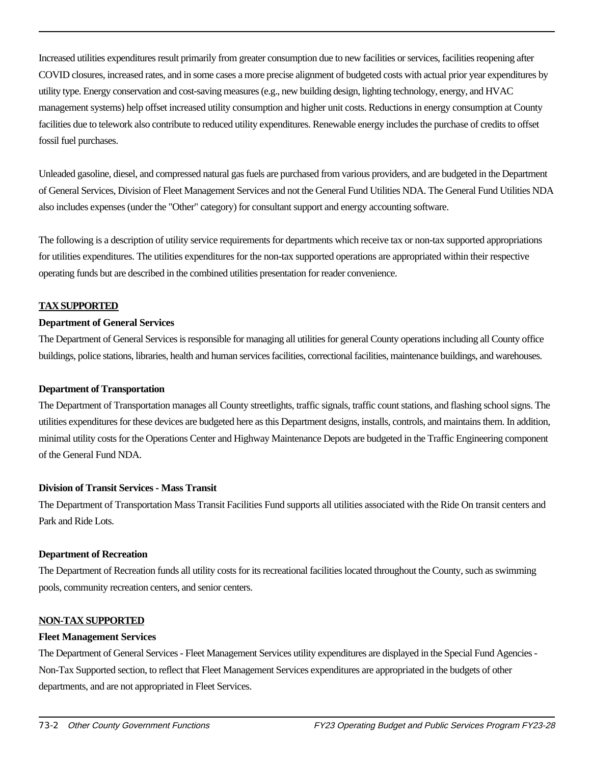Increased utilities expenditures result primarily from greater consumption due to new facilities or services, facilities reopening after COVID closures, increased rates, and in some cases a more precise alignment of budgeted costs with actual prior year expenditures by utility type. Energy conservation and cost-saving measures (e.g., new building design, lighting technology, energy, and HVAC management systems) help offset increased utility consumption and higher unit costs. Reductions in energy consumption at County facilities due to telework also contribute to reduced utility expenditures. Renewable energy includes the purchase of credits to offset fossil fuel purchases.

Unleaded gasoline, diesel, and compressed natural gas fuels are purchased from various providers, and are budgeted in the Department of General Services, Division of Fleet Management Services and not the General Fund Utilities NDA. The General Fund Utilities NDA also includes expenses (under the "Other" category) for consultant support and energy accounting software.

The following is a description of utility service requirements for departments which receive tax or non-tax supported appropriations for utilities expenditures. The utilities expenditures for the non-tax supported operations are appropriated within their respective operating funds but are described in the combined utilities presentation for reader convenience.

#### **TAX SUPPORTED**

#### **Department of General Services**

The Department of General Services is responsible for managing all utilities for general County operations including all County office buildings, police stations, libraries, health and human services facilities, correctional facilities, maintenance buildings, and warehouses.

#### **Department of Transportation**

The Department of Transportation manages all County streetlights, traffic signals, traffic count stations, and flashing school signs. The utilities expenditures for these devices are budgeted here as this Department designs, installs, controls, and maintains them. In addition, minimal utility costs for the Operations Center and Highway Maintenance Depots are budgeted in the Traffic Engineering component of the General Fund NDA.

#### **Division of Transit Services - Mass Transit**

The Department of Transportation Mass Transit Facilities Fund supports all utilities associated with the Ride On transit centers and Park and Ride Lots.

#### **Department of Recreation**

The Department of Recreation funds all utility costs for its recreational facilities located throughout the County, such as swimming pools, community recreation centers, and senior centers.

#### **NON-TAX SUPPORTED**

#### **Fleet Management Services**

The Department of General Services - Fleet Management Services utility expenditures are displayed in the Special Fund Agencies - Non-Tax Supported section, to reflect that Fleet Management Services expenditures are appropriated in the budgets of other departments, and are not appropriated in Fleet Services.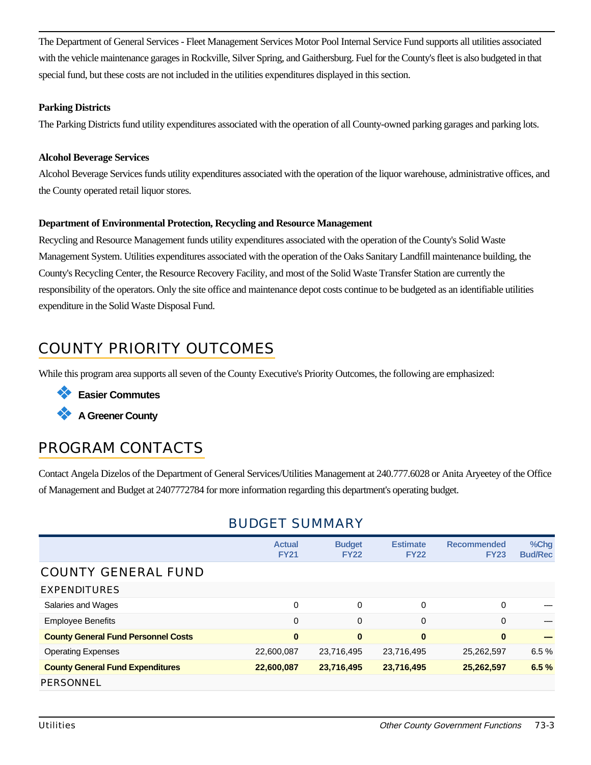The Department of General Services - Fleet Management Services Motor Pool Internal Service Fund supports all utilities associated with the vehicle maintenance garages in Rockville, Silver Spring, and Gaithersburg. Fuel for the County's fleet is also budgeted in that special fund, but these costs are not included in the utilities expenditures displayed in this section.

#### **Parking Districts**

The Parking Districts fund utility expenditures associated with the operation of all County-owned parking garages and parking lots.

#### **Alcohol Beverage Services**

Alcohol Beverage Services funds utility expenditures associated with the operation of the liquor warehouse, administrative offices, and the County operated retail liquor stores.

#### **Department of Environmental Protection, Recycling and Resource Management**

Recycling and Resource Management funds utility expenditures associated with the operation of the County's Solid Waste Management System. Utilities expenditures associated with the operation of the Oaks Sanitary Landfill maintenance building, the County's Recycling Center, the Resource Recovery Facility, and most of the Solid Waste Transfer Station are currently the responsibility of the operators. Only the site office and maintenance depot costs continue to be budgeted as an identifiable utilities expenditure in the Solid Waste Disposal Fund.

# COUNTY PRIORITY OUTCOMES

While this program area supports all seven of the County Executive's Priority Outcomes, the following are emphasized:

❖ **Easier Commutes**

❖ **A Greener County**

## PROGRAM CONTACTS

Contact Angela Dizelos of the Department of General Services/Utilities Management at 240.777.6028 or Anita Aryeetey of the Office of Management and Budget at 2407772784 for more information regarding this department's operating budget.

### BUDGET SUMMARY

|                                            | <b>Actual</b><br><b>FY21</b> | <b>Budget</b><br><b>FY22</b> | <b>Estimate</b><br><b>FY22</b> | <b>Recommended</b><br><b>FY23</b> | %Chg<br><b>Bud/Rec</b> |
|--------------------------------------------|------------------------------|------------------------------|--------------------------------|-----------------------------------|------------------------|
| <b>COUNTY GENERAL FUND</b>                 |                              |                              |                                |                                   |                        |
| <b>EXPENDITURES</b>                        |                              |                              |                                |                                   |                        |
| Salaries and Wages                         | 0                            | 0                            | 0                              | 0                                 |                        |
| <b>Employee Benefits</b>                   | 0                            | $\overline{0}$               | $\mathbf 0$                    | $\mathbf 0$                       |                        |
| <b>County General Fund Personnel Costs</b> | $\bf{0}$                     | $\bf{0}$                     | $\bf{0}$                       | $\bf{0}$                          |                        |
| <b>Operating Expenses</b>                  | 22,600,087                   | 23,716,495                   | 23,716,495                     | 25,262,597                        | 6.5%                   |
| <b>County General Fund Expenditures</b>    | 22,600,087                   | 23,716,495                   | 23,716,495                     | 25,262,597                        | 6.5%                   |
| PERSONNEL                                  |                              |                              |                                |                                   |                        |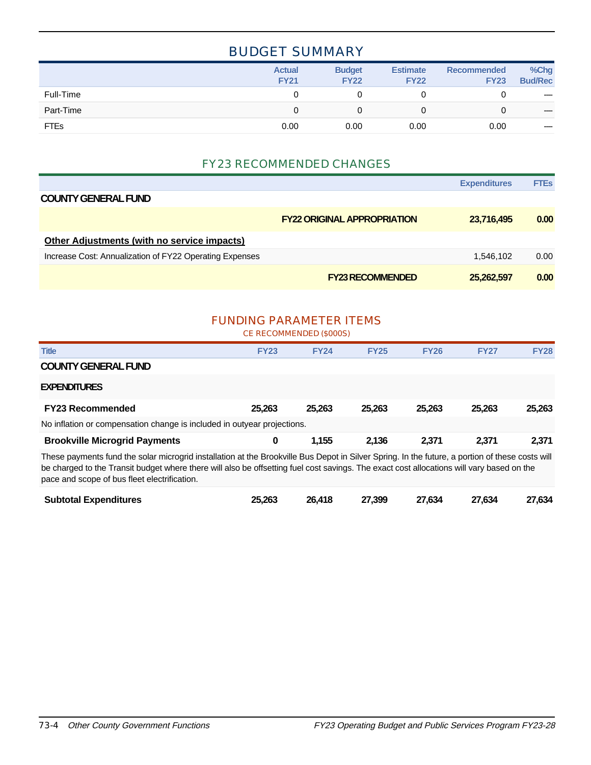### BUDGET SUMMARY

|             | <b>Actual</b><br><b>FY21</b> | <b>Budget</b><br><b>FY22</b> | <b>Estimate</b><br><b>FY22</b> | <b>Recommended</b><br><b>FY23</b> | %Chg<br><b>Bud/Rec</b> |
|-------------|------------------------------|------------------------------|--------------------------------|-----------------------------------|------------------------|
| Full-Time   |                              |                              |                                |                                   | $\hspace{0.05cm}$      |
| Part-Time   |                              |                              |                                | 0                                 | $\hspace{0.05cm}$      |
| <b>FTEs</b> | 0.00                         | 0.00                         | 0.00                           | 0.00                              | $\hspace{0.05cm}$      |

### FY23 RECOMMENDED CHANGES

|                                                         |                                    | <b>Expenditures</b> | <b>FTEs</b> |
|---------------------------------------------------------|------------------------------------|---------------------|-------------|
| <b>COUNTY GENERAL FUND</b>                              |                                    |                     |             |
|                                                         | <b>FY22 ORIGINAL APPROPRIATION</b> | 23,716,495          | 0.00        |
| <b>Other Adjustments (with no service impacts)</b>      |                                    |                     |             |
| Increase Cost: Annualization of FY22 Operating Expenses |                                    | 1.546.102           | 0.00        |
|                                                         | <b>FY23 RECOMMENDED</b>            | 25,262,597          | 0.00        |

### FUNDING PARAMETER ITEMS

CE RECOMMENDED (\$000S)

| <b>Title</b>                                                                                                                                                                                                                                                                                                                                 | <b>FY23</b> | <b>FY24</b> | <b>FY25</b> | <b>FY26</b> | <b>FY27</b> | <b>FY28</b> |  |  |
|----------------------------------------------------------------------------------------------------------------------------------------------------------------------------------------------------------------------------------------------------------------------------------------------------------------------------------------------|-------------|-------------|-------------|-------------|-------------|-------------|--|--|
| <b>COUNTY GENERAL FUND</b>                                                                                                                                                                                                                                                                                                                   |             |             |             |             |             |             |  |  |
| <b>EXPENDITURES</b>                                                                                                                                                                                                                                                                                                                          |             |             |             |             |             |             |  |  |
| <b>FY23 Recommended</b>                                                                                                                                                                                                                                                                                                                      | 25.263      | 25.263      | 25,263      | 25.263      | 25.263      | 25,263      |  |  |
| No inflation or compensation change is included in outyear projections.                                                                                                                                                                                                                                                                      |             |             |             |             |             |             |  |  |
| <b>Brookville Microgrid Payments</b>                                                                                                                                                                                                                                                                                                         | 0           | 1,155       | 2.136       | 2.371       | 2,371       | 2,371       |  |  |
| These payments fund the solar microgrid installation at the Brookville Bus Depot in Silver Spring. In the future, a portion of these costs will<br>be charged to the Transit budget where there will also be offsetting fuel cost savings. The exact cost allocations will vary based on the<br>pace and scope of bus fleet electrification. |             |             |             |             |             |             |  |  |
| <b>Subtotal Expenditures</b>                                                                                                                                                                                                                                                                                                                 | 25.263      | 26.418      | 27.399      | 27.634      | 27.634      | 27.634      |  |  |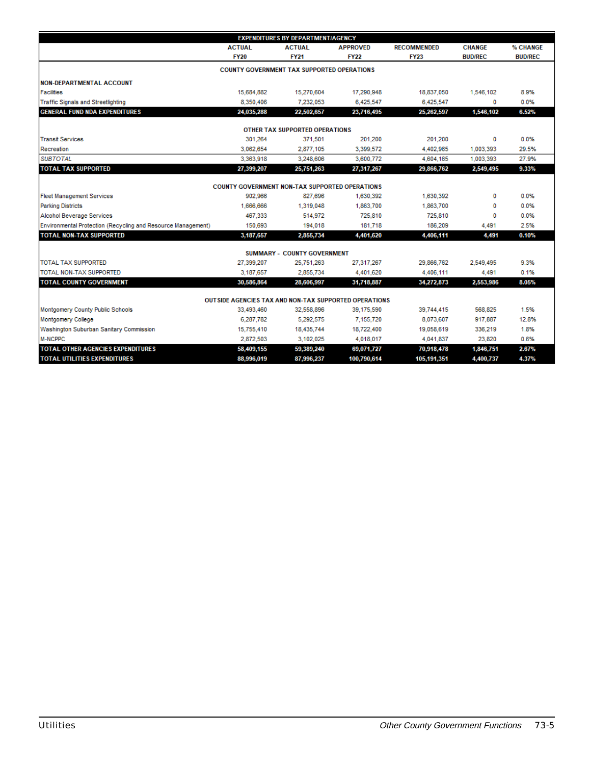| <b>EXPENDITURES BY DEPARTMENT/AGENCY</b>                      |               |                                                       |                 |                    |                |                |  |  |
|---------------------------------------------------------------|---------------|-------------------------------------------------------|-----------------|--------------------|----------------|----------------|--|--|
|                                                               | <b>ACTUAL</b> | <b>ACTUAL</b>                                         | <b>APPROVED</b> | <b>RECOMMENDED</b> | <b>CHANGE</b>  | % CHANGE       |  |  |
|                                                               | <b>FY20</b>   | <b>FY21</b>                                           | <b>FY22</b>     | <b>FY23</b>        | <b>BUD/REC</b> | <b>BUD/REC</b> |  |  |
|                                                               |               | <b>COUNTY GOVERNMENT TAX SUPPORTED OPERATIONS</b>     |                 |                    |                |                |  |  |
| <b>NON-DEPARTMENTAL ACCOUNT</b>                               |               |                                                       |                 |                    |                |                |  |  |
| <b>Facilities</b>                                             | 15,684,882    | 15,270,604                                            | 17,290,948      | 18,837,050         | 1,546,102      | 8.9%           |  |  |
| <b>Traffic Signals and Streetlighting</b>                     | 8.350.406     | 7.232.053                                             | 6,425,547       | 6,425,547          | 0              | 0.0%           |  |  |
| <b>GENERAL FUND NDA EXPENDITURES</b>                          | 24,035,288    | 22,502,657                                            | 23,716,495      | 25,262,597         | 1,546,102      | 6.52%          |  |  |
|                                                               |               | OTHER TAX SUPPORTED OPERATIONS                        |                 |                    |                |                |  |  |
| <b>Transit Services</b>                                       | 301,264       | 371,501                                               | 201,200         | 201,200            | 0              | 0.0%           |  |  |
| Recreation                                                    | 3,062,654     | 2,877,105                                             | 3,399,572       | 4.402.965          | 1,003,393      | 29.5%          |  |  |
| <b>SUBTOTAL</b>                                               | 3,363,918     | 3,248,606                                             | 3,600.772       | 4,604,165          | 1,003,393      | 27.9%          |  |  |
| <b>TOTAL TAX SUPPORTED</b>                                    | 27,399,207    | 25,751,263                                            | 27,317,267      | 29,866,762         | 2,549,495      | 9.33%          |  |  |
|                                                               |               |                                                       |                 |                    |                |                |  |  |
|                                                               |               | <b>COUNTY GOVERNMENT NON-TAX SUPPORTED OPERATIONS</b> |                 |                    |                |                |  |  |
| <b>Fleet Management Services</b>                              | 902.966       | 827.696                                               | 1,630,392       | 1,630,392          | 0              | 0.0%           |  |  |
| <b>Parking Districts</b>                                      | 1,666,666     | 1,319,048                                             | 1,863,700       | 1,863,700          | o              | 0.0%           |  |  |
| Alcohol Beverage Services                                     | 467,333       | 514,972                                               | 725.810         | 725,810            | o              | 0.0%           |  |  |
| Environmental Protection (Recycling and Resource Management)  | 150,693       | 194,018                                               | 181,718         | 186,209            | 4,491          | 2.5%           |  |  |
| <b>TOTAL NON-TAX SUPPORTED</b>                                | 3,187,657     | 2,855,734                                             | 4,401,620       | 4,406,111          | 4,491          | 0.10%          |  |  |
|                                                               |               | <b>SUMMARY - COUNTY GOVERNMENT</b>                    |                 |                    |                |                |  |  |
| <b>TOTAL TAX SUPPORTED</b>                                    | 27.399.207    | 25,751,263                                            | 27,317,267      | 29.866.762         | 2,549,495      | 9.3%           |  |  |
| TOTAL NON-TAX SUPPORTED                                       | 3.187.657     | 2,855,734                                             | 4,401,620       | 4,406,111          | 4,491          | 0.1%           |  |  |
| <b>TOTAL COUNTY GOVERNMENT</b>                                | 30,586,864    | 28,606,997                                            | 31,718,887      | 34,272,873         | 2,553,986      | 8.05%          |  |  |
|                                                               |               |                                                       |                 |                    |                |                |  |  |
| <b>OUT SIDE AGENCIES TAX AND NON-TAX SUPPORTED OPERATIONS</b> |               |                                                       |                 |                    |                |                |  |  |
| Montgomery County Public Schools                              | 33,493,460    | 32,558,896                                            | 39,175,590      | 39,744,415         | 568,825        | 1.5%           |  |  |
| <b>Montgomery College</b>                                     | 6,287,782     | 5,292,575                                             | 7,155,720       | 8,073,607          | 917,887        | 12.8%          |  |  |
| Washington Suburban Sanitary Commission                       | 15,755,410    | 18,435,744                                            | 18,722,400      | 19,058,619         | 336,219        | 1.8%           |  |  |
| M-NCPPC                                                       | 2,872,503     | 3,102,025                                             | 4,018,017       | 4,041,837          | 23,820         | 0.6%           |  |  |
| <b>TOTAL OTHER AGENCIES EXPENDITURES</b>                      | 58,409,155    | 59,389,240                                            | 69,071,727      | 70,918,478         | 1,846,751      | 2.67%          |  |  |
| <b>TOTAL UTILITIES EXPENDITURES</b>                           | 88,996,019    | 87,996,237                                            | 100,790,614     | 105,191,351        | 4,400,737      | 4.37%          |  |  |